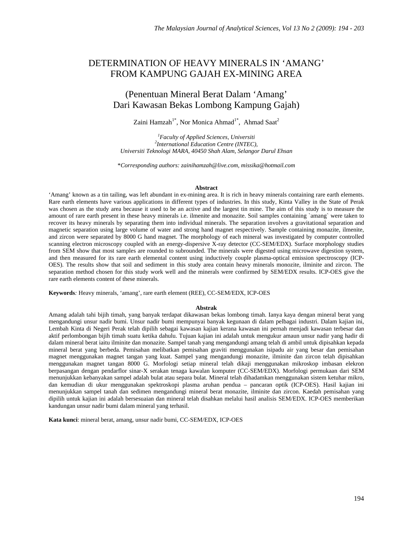# DETERMINATION OF HEAVY MINERALS IN 'AMANG' FROM KAMPUNG GAJAH EX-MINING AREA

# (Penentuan Mineral Berat Dalam 'Amang' Dari Kawasan Bekas Lombong Kampung Gajah)

Zaini Hamzah<sup>1\*</sup>, Nor Monica Ahmad<sup>1\*</sup>, Ahmad Saat<sup>2</sup>

*1 Faculty of Applied Sciences, Universiti 2 International Education Centre (INTEC), Universiti Teknologi MARA, 40450 Shah Alam, Selangor Darul Ehsan* 

\**Corresponding authors: zainihamzah@live.com, missika@hotmail.com*

#### **Abstract**

'Amang' known as a tin tailing, was left abundant in ex-mining area. It is rich in heavy minerals containing rare earth elements. Rare earth elements have various applications in different types of industries. In this study, Kinta Valley in the State of Perak was chosen as the study area because it used to be an active and the largest tin mine. The aim of this study is to measure the amount of rare earth present in these heavy minerals i.e. ilmenite and monazite. Soil samples containing `amang` were taken to recover its heavy minerals by separating them into individual minerals. The separation involves a gravitational separation and magnetic separation using large volume of water and strong hand magnet respectively. Sample containing monazite, ilmenite, and zircon were separated by 8000 G hand magnet. The morphology of each mineral was investigated by computer controlled scanning electron microscopy coupled with an energy-dispersive X-ray detector (CC-SEM/EDX). Surface morphology studies from SEM show that most samples are rounded to subrounded. The minerals were digested using microwave digestion system, and then measured for its rare earth elemental content using inductively couple plasma-optical emission spectroscopy (ICP-OES). The results show that soil and sediment in this study area contain heavy minerals monozite, ilminite and zircon. The separation method chosen for this study work well and the minerals were confirmed by SEM/EDX results. ICP-OES give the rare earth elements content of these minerals.

**Keywords***:* Heavy minerals, 'amang', rare earth element (REE), CC-SEM/EDX, ICP-OES

#### **Abstrak**

Amang adalah tahi bijih timah, yang banyak terdapat dikawasan bekas lombong timah. Ianya kaya dengan mineral berat yang mengandungi unsur nadir bumi. Unsur nadir bumi mempunyai banyak kegunaan di dalam pelbagai industri. Dalam kajian ini, Lembah Kinta di Negeri Perak telah dipilih sebagai kawasan kajian kerana kawasan ini pernah menjadi kawasan terbesar dan aktif perlombongan bijih timah suatu ketika dahulu. Tujuan kajian ini adalah untuk mengukur amaun unsur nadir yang hadir di dalam mineral berat iaitu ilminite dan monazite. Sampel tanah yang mengandungi amang telah di ambil untuk dipisahkan kepada mineral berat yang berbeda. Pemisahan melibatkan pemisahan graviti menggunakan isipadu air yang besar dan pemisahan magnet menggunakan magnet tangan yang kuat. Sampel yang mengandungi monazite, ilminite dan zircon telah dipisahkan menggunakan magnet tangan 8000 G. Morfologi setiap mineral telah dikaji menggunakan mikroskop imbasan elekron berpasangan dengan pendarflor sinar-X serakan tenaga kawalan komputer (CC-SEM/EDX). Morfologi permukaan dari SEM menunjukkan kebanyakan sampel adalah bulat atau separa bulat. Mineral telah dihadamkan menggunakan sistem ketuhar mikro, dan kemudian di ukur menggunakan spektroskopi plasma aruhan pendua – pancaran optik (ICP-OES). Hasil kajian ini menunjukkan sampel tanah dan sedimen mengandungi mineral berat monazite, ilminite dan zircon. Kaedah pemisahan yang dipilih untuk kajian ini adalah bersesuaian dan mineral telah disahkan melalui hasil analisis SEM/EDX. ICP-OES memberikan kandungan unsur nadir bumi dalam mineral yang terhasil.

**Kata kunci**: mineral berat, amang, unsur nadir bumi, CC-SEM/EDX, ICP-OES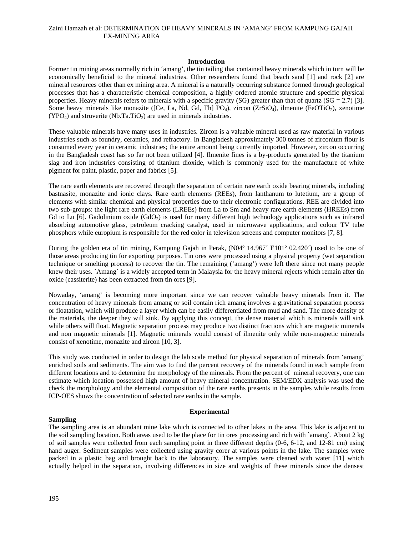# Zaini Hamzah et al: DETERMINATION OF HEAVY MINERALS IN 'AMANG' FROM KAMPUNG GAJAH EX-MINING AREA

# **Introduction**

Former tin mining areas normally rich in 'amang', the tin tailing that contained heavy minerals which in turn will be economically beneficial to the mineral industries. Other researchers found that beach sand [1] and rock [2] are mineral resources other than ex mining area. A mineral is a naturally occurring substance formed through geological processes that has a characteristic chemical composition, a highly ordered atomic structure and specific physical properties. Heavy minerals refers to minerals with a specific gravity (SG) greater than that of quartz ( $SG = 2.7$ ) [3]. Some heavy minerals like monazite ([Ce, La, Nd, Gd, Th] PO<sub>4</sub>), zircon (ZrSiO<sub>4</sub>), ilmenite (FeOTiO<sub>2</sub>), xenotime  $(YPO<sub>4</sub>)$  and struverite  $(Nb.Ta.TiO<sub>2</sub>)$  are used in minerals industries.

These valuable minerals have many uses in industries. Zircon is a valuable mineral used as raw material in various industries such as foundry, ceramics, and refractory. In Bangladesh approximately 300 tonnes of zirconium flour is consumed every year in ceramic industries; the entire amount being currently imported. However, zircon occurring in the Bangladesh coast has so far not been utilized [4]. Ilmenite fines is a by-products generated by the titanium slag and iron industries consisting of titanium dioxide, which is commonly used for the manufacture of white pigment for paint, plastic, paper and fabrics [5].

The rare earth elements are recovered through the separation of certain rare earth oxide bearing minerals, including bastnasite, monazite and ionic clays. Rare earth elements (REEs), from lanthanum to lutetium, are a group of elements with similar chemical and physical properties due to their electronic configurations. REE are divided into two sub-groups: the light rare earth elements (LREEs) from La to Sm and heavy rare earth elements (HREEs) from Gd to Lu [6]. Gadolinium oxide  $(GdO<sub>2</sub>)$  is used for many different high technology applications such as infrared absorbing automotive glass, petroleum cracking catalyst, used in microwave applications, and colour TV tube phosphors while europium is responsible for the red color in television screens and computer monitors [7, 8].

During the golden era of tin mining, Kampung Gajah in Perak, (N04° 14.967´ E101° 02.420´) used to be one of those areas producing tin for exporting purposes. Tin ores were processed using a physical property (wet separation technique or smelting process) to recover the tin. The remaining ('amang') were left there since not many people knew their uses. `Amang` is a widely accepted term in Malaysia for the heavy mineral rejects which remain after tin oxide (cassiterite) has been extracted from tin ores [9].

Nowaday, 'amang' is becoming more important since we can recover valuable heavy minerals from it. The concentration of heavy minerals from amang or soil contain rich amang involves a gravitational separation process or floatation, which will produce a layer which can be easily differentiated from mud and sand. The more density of the materials, the deeper they will sink. By applying this concept, the dense material which is minerals will sink while others will float. Magnetic separation process may produce two distinct fractions which are magnetic minerals and non magnetic minerals [1]. Magnetic minerals would consist of ilmenite only while non-magnetic minerals consist of xenotime, monazite and zircon [10, 3].

This study was conducted in order to design the lab scale method for physical separation of minerals from 'amang' enriched soils and sediments. The aim was to find the percent recovery of the minerals found in each sample from different locations and to determine the morphology of the minerals. From the percent of mineral recovery, one can estimate which location possessed high amount of heavy mineral concentration. SEM/EDX analysis was used the check the morphology and the elemental composition of the rare earths presents in the samples while results from ICP-OES shows the concentration of selected rare earths in the sample.

## **Sampling**

## **Experimental**

The sampling area is an abundant mine lake which is connected to other lakes in the area. This lake is adjacent to the soil sampling location. Both areas used to be the place for tin ores processing and rich with `amang`. About 2 kg of soil samples were collected from each sampling point in three different depths (0-6, 6-12, and 12-81 cm) using hand auger. Sediment samples were collected using gravity corer at various points in the lake. The samples were packed in a plastic bag and brought back to the laboratory. The samples were cleaned with water [11] which actually helped in the separation, involving differences in size and weights of these minerals since the densest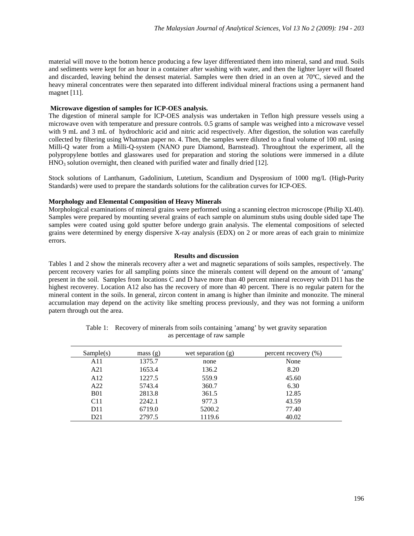material will move to the bottom hence producing a few layer differentiated them into mineral, sand and mud. Soils and sediments were kept for an hour in a container after washing with water, and then the lighter layer will floated and discarded, leaving behind the densest material. Samples were then dried in an oven at 70ºC, sieved and the heavy mineral concentrates were then separated into different individual mineral fractions using a permanent hand magnet [11].

# **Microwave digestion of samples for ICP-OES analysis.**

The digestion of mineral sample for ICP-OES analysis was undertaken in Teflon high pressure vessels using a microwave oven with temperature and pressure controls. 0.5 grams of sample was weighed into a microwave vessel with 9 mL and 3 mL of hydrochloric acid and nitric acid respectively. After digestion, the solution was carefully collected by filtering using Whatman paper no. 4. Then, the samples were diluted to a final volume of 100 mL using Milli-Q water from a Milli-Q-system (NANO pure Diamond, Barnstead). Throughtout the experiment, all the polypropylene bottles and glasswares used for preparation and storing the solutions were immersed in a dilute  $HNO<sub>3</sub>$  solution overnight, then cleaned with purified water and finally dried [12].

Stock solutions of Lanthanum, Gadolinium, Lutetium, Scandium and Dysprosium of 1000 mg/L (High-Purity Standards) were used to prepare the standards solutions for the calibration curves for ICP-OES.

# **Morphology and Elemental Composition of Heavy Minerals**

Morphological examinations of mineral grains were performed using a scanning electron microscope (Philip XL40). Samples were prepared by mounting several grains of each sample on aluminum stubs using double sided tape The samples were coated using gold sputter before undergo grain analysis. The elemental compositions of selected grains were determined by energy dispersive X-ray analysis (EDX) on 2 or more areas of each grain to minimize errors.

# **Results and discussion**

Tables 1 and 2 show the minerals recovery after a wet and magnetic separations of soils samples, respectively. The percent recovery varies for all sampling points since the minerals content will depend on the amount of 'amang' present in the soil. Samples from locations C and D have more than 40 percent mineral recovery with D11 has the highest recoverey. Location A12 also has the recovery of more than 40 percent. There is no regular patern for the mineral content in the soils. In general, zircon content in amang is higher than ilminite and monozite. The mineral accumulation may depend on the activity like smelting process previously, and they was not forming a uniform patern through out the area.

| Sample(s)       | mass(g) | wet separation $(g)$ | percent recovery $(\% )$ |
|-----------------|---------|----------------------|--------------------------|
| A11             | 1375.7  | none                 | None                     |
| A21             | 1653.4  | 136.2                | 8.20                     |
| A <sub>12</sub> | 1227.5  | 559.9                | 45.60                    |
| A22             | 5743.4  | 360.7                | 6.30                     |
| <b>B01</b>      | 2813.8  | 361.5                | 12.85                    |
| C11             | 2242.1  | 977.3                | 43.59                    |
| D <sub>11</sub> | 6719.0  | 5200.2               | 77.40                    |
| D <sub>21</sub> | 2797.5  | 1119.6               | 40.02                    |

Table 1: Recovery of minerals from soils containing 'amang' by wet gravity separation as percentage of raw sample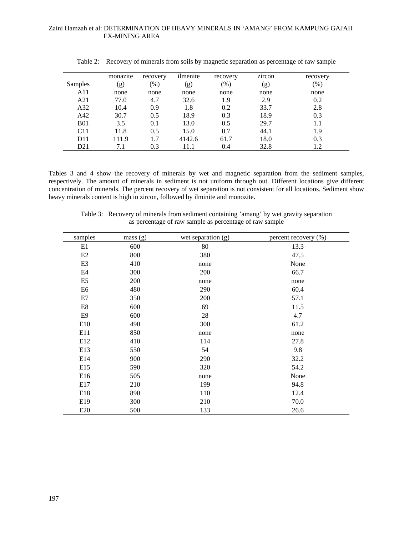| Samples         | monazite<br>(g) | recovery<br>$\frac{9}{6}$ | ilmenite<br>(g) | recovery<br>$\frac{9}{6}$ | $\bullet$<br>zircon<br>(g) | recovery<br>$\frac{9}{6}$ |
|-----------------|-----------------|---------------------------|-----------------|---------------------------|----------------------------|---------------------------|
| A11             | none            | none                      | none            | none                      | none                       | none                      |
| A21             | 77.0            | 4.7                       | 32.6            | 1.9                       | 2.9                        | 0.2                       |
| A32             | 10.4            | 0.9                       | 1.8             | 0.2                       | 33.7                       | 2.8                       |
| A42             | 30.7            | 0.5                       | 18.9            | 0.3                       | 18.9                       | 0.3                       |
| <b>B01</b>      | 3.5             | 0.1                       | 13.0            | 0.5                       | 29.7                       | 1.1                       |
| C11             | 11.8            | 0.5                       | 15.0            | 0.7                       | 44.1                       | 1.9                       |
| D <sub>11</sub> | 111.9           | 1.7                       | 4142.6          | 61.7                      | 18.0                       | 0.3                       |
| D21             |                 | 0.3                       |                 | 0.4                       | 32.8                       | 1.2                       |

Table 2: Recovery of minerals from soils by magnetic separation as percentage of raw sample

Tables 3 and 4 show the recovery of minerals by wet and magnetic separation from the sediment samples, respectively. The amount of minerals in sediment is not uniform through out. Different locations give different concentration of minerals. The percent recovery of wet separation is not consistent for all locations. Sediment show heavy minerals content is high in zircon, followed by ilminite and monozite.

| Table 3: Recovery of minerals from sediment containing 'amang' by wet gravity separation |
|------------------------------------------------------------------------------------------|
| as percentage of raw sample as percentage of raw sample                                  |

| samples                   | mass(g) | wet separation $(g)$ | percent recovery (%) |
|---------------------------|---------|----------------------|----------------------|
| E1                        | 600     | 80                   | 13.3                 |
| E2                        | 800     | 380                  | 47.5                 |
| E <sub>3</sub>            | 410     | none                 | None                 |
| E4                        | 300     | 200                  | 66.7                 |
| E <sub>5</sub>            | 200     | none                 | none                 |
| E6                        | 480     | 290                  | 60.4                 |
| E7                        | 350     | 200                  | 57.1                 |
| $\mathop{\hbox{\rm E}} 8$ | 600     | 69                   | 11.5                 |
| E <sub>9</sub>            | 600     | 28                   | 4.7                  |
| E10                       | 490     | 300                  | 61.2                 |
| E11                       | 850     | none                 | none                 |
| E12                       | 410     | 114                  | 27.8                 |
| E13                       | 550     | 54                   | 9.8                  |
| E14                       | 900     | 290                  | 32.2                 |
| E15                       | 590     | 320                  | 54.2                 |
| E16                       | 505     | none                 | None                 |
| E17                       | 210     | 199                  | 94.8                 |
| E18                       | 890     | 110                  | 12.4                 |
| E <sub>19</sub>           | 300     | 210                  | 70.0                 |
| E20                       | 500     | 133                  | 26.6                 |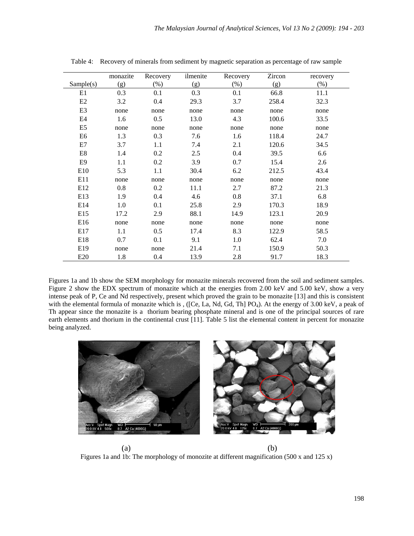| Sample(s)                 | monazite<br>(g) | Recovery<br>$(\%)$ | ilmenite<br>(g) | Recovery<br>(% ) | Zircon<br>(g) | recovery<br>$(\%)$ |
|---------------------------|-----------------|--------------------|-----------------|------------------|---------------|--------------------|
| E1                        | 0.3             | 0.1                | 0.3             | 0.1              | 66.8          | 11.1               |
| E2                        | 3.2             | 0.4                | 29.3            | 3.7              | 258.4         | 32.3               |
| E <sub>3</sub>            |                 |                    |                 |                  |               |                    |
|                           | none            | none               | none            | none             | none          | none               |
| E4                        | 1.6             | 0.5                | 13.0            | 4.3              | 100.6         | 33.5               |
| E <sub>5</sub>            | none            | none               | none            | none             | none          | none               |
| E <sub>6</sub>            | 1.3             | 0.3                | 7.6             | 1.6              | 118.4         | 24.7               |
| E7                        | 3.7             | 1.1                | 7.4             | 2.1              | 120.6         | 34.5               |
| $\mathop{\hbox{\rm E}} 8$ | 1.4             | 0.2                | 2.5             | 0.4              | 39.5          | 6.6                |
| E9                        | 1.1             | 0.2                | 3.9             | 0.7              | 15.4          | 2.6                |
| E10                       | 5.3             | 1.1                | 30.4            | 6.2              | 212.5         | 43.4               |
| E11                       | none            | none               | none            | none             | none          | none               |
| E <sub>12</sub>           | 0.8             | 0.2                | 11.1            | 2.7              | 87.2          | 21.3               |
| E13                       | 1.9             | 0.4                | 4.6             | 0.8              | 37.1          | 6.8                |
| E14                       | 1.0             | 0.1                | 25.8            | 2.9              | 170.3         | 18.9               |
| E15                       | 17.2            | 2.9                | 88.1            | 14.9             | 123.1         | 20.9               |
| E16                       | none            | none               | none            | none             | none          | none               |
| E17                       | 1.1             | 0.5                | 17.4            | 8.3              | 122.9         | 58.5               |
| E18                       | 0.7             | 0.1                | 9.1             | 1.0              | 62.4          | 7.0                |
| E <sub>19</sub>           | none            | none               | 21.4            | 7.1              | 150.9         | 50.3               |
| E20                       | 1.8             | 0.4                | 13.9            | 2.8              | 91.7          | 18.3               |

Table 4: Recovery of minerals from sediment by magnetic separation as percentage of raw sample

Figures 1a and 1b show the SEM morphology for monazite minerals recovered from the soil and sediment samples. Figure 2 show the EDX spectrum of monazite which at the energies from 2.00 keV and 5.00 keV, show a very intense peak of P, Ce and Nd respectively, present which proved the grain to be monazite [13] and this is consistent with the elemental formula of monazite which is , ([Ce, La, Nd, Gd, Th] PO<sub>4</sub>). At the energy of 3.00 keV, a peak of Th appear since the monazite is a thorium bearing phosphate mineral and is one of the principal sources of rare earth elements and thorium in the continental crust [11]. Table 5 list the elemental content in percent for monazite being analyzed.



 $(a)$  (b) Figures 1a and 1b: The morphology of monozite at different magnification (500 x and 125 x)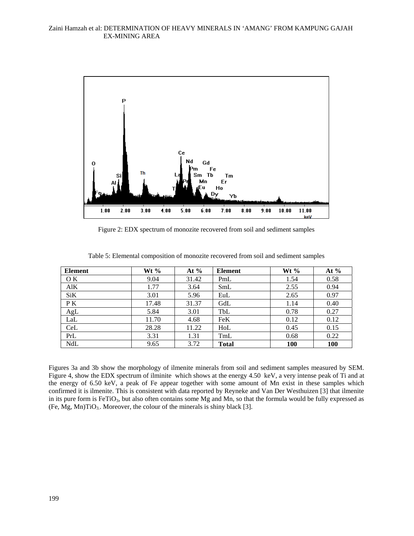

Figure 2: EDX spectrum of monozite recovered from soil and sediment samples

| <b>Element</b> | Wt $\%$ | At $%$ | <b>Element</b> | Wt $%$     | At $%$     |
|----------------|---------|--------|----------------|------------|------------|
| O K            | 9.04    | 31.42  | PmL            | 1.54       | 0.58       |
| AlK            | 1.77    | 3.64   | SmL            | 2.55       | 0.94       |
| SiK            | 3.01    | 5.96   | EuL            | 2.65       | 0.97       |
| P K            | 17.48   | 31.37  | GdL            | 1.14       | 0.40       |
| AgL            | 5.84    | 3.01   | TbL            | 0.78       | 0.27       |
| LaL            | 11.70   | 4.68   | <b>FeK</b>     | 0.12       | 0.12       |
| CeL            | 28.28   | 11.22  | HoL            | 0.45       | 0.15       |
| PrL            | 3.31    | 1.31   | TmL            | 0.68       | 0.22       |
| NdL            | 9.65    | 3.72   | <b>Total</b>   | <b>100</b> | <b>100</b> |

Table 5: Elemental composition of monozite recovered from soil and sediment samples

Figures 3a and 3b show the morphology of ilmenite minerals from soil and sediment samples measured by SEM. Figure 4, show the EDX spectrum of ilminite which shows at the energy 4.50 keV, a very intense peak of Ti and at the energy of 6.50 keV, a peak of Fe appear together with some amount of Mn exist in these samples which confirmed it is ilmenite. This is consistent with data reported by Reyneke and Van Der Westhuizen [3] that ilmenite in its pure form is FeTiO<sub>3</sub>, but also often contains some Mg and Mn, so that the formula would be fully expressed as (Fe, Mg, Mn)TiO<sub>3</sub>. Moreover, the colour of the minerals is shiny black [3].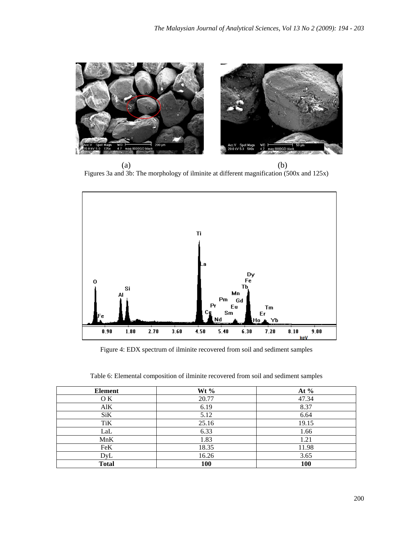

 $(a)$  (b) Figures 3a and 3b: The morphology of ilminite at different magnification (500x and 125x)



Figure 4: EDX spectrum of ilminite recovered from soil and sediment samples

| <b>Element</b> | Wt $%$ | At $%$     |
|----------------|--------|------------|
| O K            | 20.77  | 47.34      |
| AIK            | 6.19   | 8.37       |
| SiK            | 5.12   | 6.64       |
| TiK            | 25.16  | 19.15      |
| LaL            | 6.33   | 1.66       |
| MnK            | 1.83   | 1.21       |
| FeK            | 18.35  | 11.98      |
| DyL            | 16.26  | 3.65       |
| <b>Total</b>   | 100    | <b>100</b> |

Table 6: Elemental composition of ilminite recovered from soil and sediment samples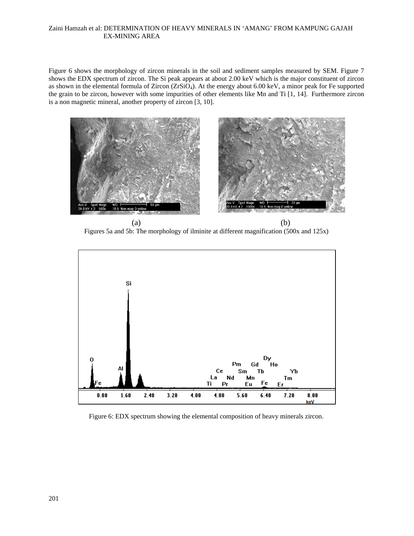# Zaini Hamzah et al: DETERMINATION OF HEAVY MINERALS IN 'AMANG' FROM KAMPUNG GAJAH EX-MINING AREA

Figure 6 shows the morphology of zircon minerals in the soil and sediment samples measured by SEM. Figure 7 shows the EDX spectrum of zircon. The Si peak appears at about 2.00 keV which is the major constituent of zircon as shown in the elemental formula of Zircon (ZrSiO<sub>4</sub>). At the energy about 6.00 keV, a minor peak for Fe supported the grain to be zircon, however with some impurities of other elements like Mn and Ti [1, 14]. Furthermore zircon is a non magnetic mineral, another property of zircon [3, 10].



 $(a)$  (b) Figures 5a and 5b: The morphology of ilminite at different magnification (500x and 125x)



Figure 6: EDX spectrum showing the elemental composition of heavy minerals zircon.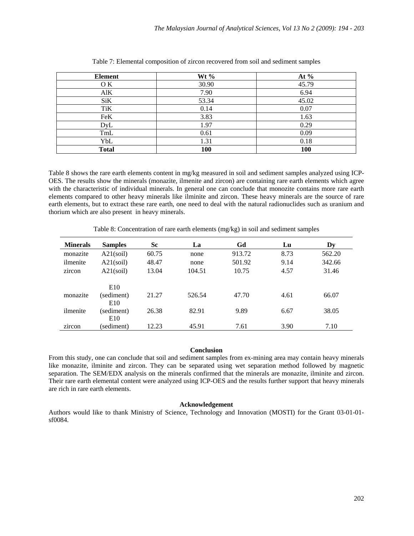| <b>Element</b> | Wt $\%$    | At $%$     |
|----------------|------------|------------|
| OK.            | 30.90      | 45.79      |
| AIK            | 7.90       | 6.94       |
| SiK            | 53.34      | 45.02      |
| TiK            | 0.14       | 0.07       |
| FeK            | 3.83       | 1.63       |
| DyL            | 1.97       | 0.29       |
| TmL            | 0.61       | 0.09       |
| YbL            | 1.31       | 0.18       |
| <b>Total</b>   | <b>100</b> | <b>100</b> |

Table 7: Elemental composition of zircon recovered from soil and sediment samples

Table 8 shows the rare earth elements content in mg/kg measured in soil and sediment samples analyzed using ICP-OES. The results show the minerals (monazite, ilmenite and zircon) are containing rare earth elements which agree with the characteristic of individual minerals. In general one can conclude that monozite contains more rare earth elements compared to other heavy minerals like ilminite and zircon. These heavy minerals are the source of rare earth elements, but to extract these rare earth, one need to deal with the natural radionuclides such as uranium and thorium which are also present in heavy minerals.

| <b>Minerals</b> | <b>Samples</b>                | Sc    | La     | Gd     | Lu   | Dv     |
|-----------------|-------------------------------|-------|--------|--------|------|--------|
| monazite        | $A21$ (soil)                  | 60.75 | none   | 913.72 | 8.73 | 562.20 |
| ilmenite        | $A21$ (soil)                  | 48.47 | none   | 501.92 | 9.14 | 342.66 |
| zircon          | $A21$ (soil)                  | 13.04 | 104.51 | 10.75  | 4.57 | 31.46  |
|                 | E10                           |       |        |        |      |        |
| monazite        | (sediment)<br>E <sub>10</sub> | 21.27 | 526.54 | 47.70  | 4.61 | 66.07  |
| ilmenite        | (sediment)<br>E10             | 26.38 | 82.91  | 9.89   | 6.67 | 38.05  |
| zarcon          | sediment)                     | 12.23 | 45.91  | 7.61   | 3.90 | 7.10   |

Table 8: Concentration of rare earth elements (mg/kg) in soil and sediment samples

# **Conclusion**

From this study, one can conclude that soil and sediment samples from ex-mining area may contain heavy minerals like monazite, ilminite and zircon. They can be separated using wet separation method followed by magnetic separation. The SEM/EDX analysis on the minerals confirmed that the minerals are monazite, ilminite and zircon. Their rare earth elemental content were analyzed using ICP-OES and the results further support that heavy minerals are rich in rare earth elements.

## **Acknowledgement**

Authors would like to thank Ministry of Science, Technology and Innovation (MOSTI) for the Grant 03-01-01 sf0084.